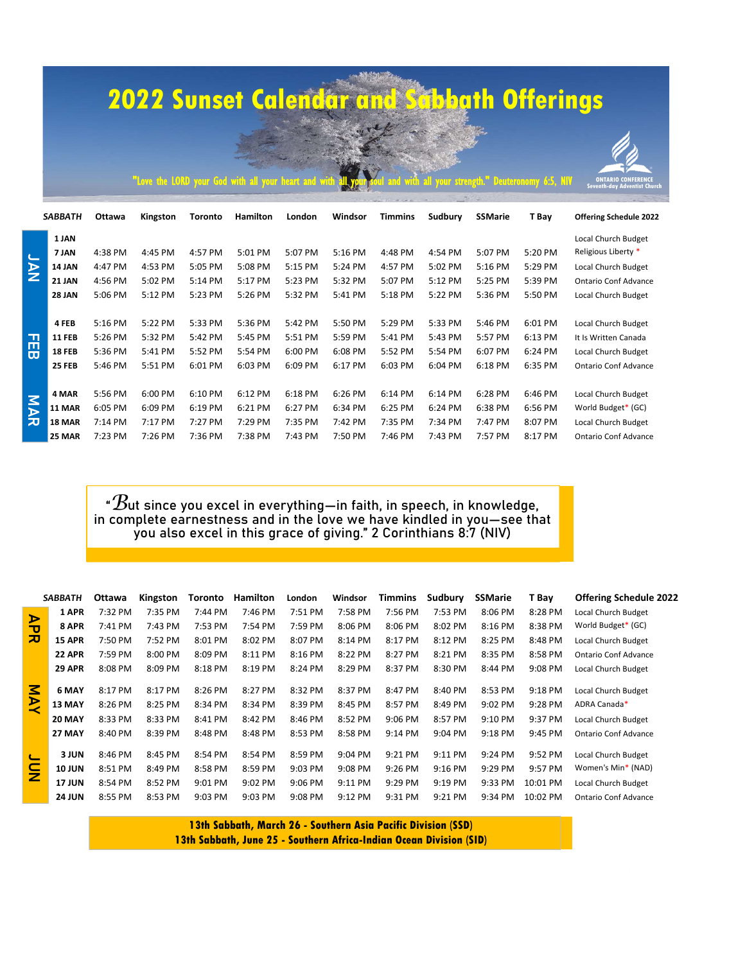## **2022 Sunset Calendar and Sabbath Offerings**

|        |                |         |                                                     |                |                 |         |         |                |         |                | <b>2022 Sunset Calendar and Schbath Offerings</b> |                                                                  |
|--------|----------------|---------|-----------------------------------------------------|----------------|-----------------|---------|---------|----------------|---------|----------------|---------------------------------------------------|------------------------------------------------------------------|
|        |                |         | "Love the LORD your God with all your heart and wit |                |                 |         |         |                |         |                | your strength." Deuteronomy 6:5, NIV              | <b>ONTARIO CONFERENCE</b><br><b>Seventh-dav Adventist Churcl</b> |
|        | <b>SABBATH</b> | Ottawa  | Kingston                                            | <b>Toronto</b> | <b>Hamilton</b> | London  | Windsor | <b>Timmins</b> | Sudbury | <b>SSMarie</b> | T Bay                                             | <b>Offering Schedule 2022</b>                                    |
|        | 1 JAN          |         |                                                     |                |                 |         |         |                |         |                |                                                   | Local Church Budget                                              |
|        | 7 JAN          | 4:38 PM | 4:45 PM                                             | 4:57 PM        | 5:01 PM         | 5:07 PM | 5:16 PM | 4:48 PM        | 4:54 PM | 5:07 PM        | 5:20 PM                                           | Religious Liberty *                                              |
| NAL    | 14 JAN         | 4:47 PM | 4:53 PM                                             | 5:05 PM        | 5:08 PM         | 5:15 PM | 5:24 PM | 4:57 PM        | 5:02 PM | 5:16 PM        | 5:29 PM                                           | Local Church Budget                                              |
|        | <b>21 JAN</b>  | 4:56 PM | 5:02 PM                                             | 5:14 PM        | 5:17 PM         | 5:23 PM | 5:32 PM | 5:07 PM        | 5:12 PM | 5:25 PM        | 5:39 PM                                           | <b>Ontario Conf Advance</b>                                      |
|        | <b>28 JAN</b>  | 5:06 PM | 5:12 PM                                             | 5:23 PM        | 5:26 PM         | 5:32 PM | 5:41 PM | 5:18 PM        | 5:22 PM | 5:36 PM        | 5:50 PM                                           | Local Church Budget                                              |
|        | 4 FEB          | 5:16 PM | 5:22 PM                                             | 5:33 PM        | 5:36 PM         | 5:42 PM | 5:50 PM | 5:29 PM        | 5:33 PM | 5:46 PM        | 6:01 PM                                           | Local Church Budget                                              |
|        | <b>11 FEB</b>  | 5:26 PM | 5:32 PM                                             | 5:42 PM        | 5:45 PM         | 5:51 PM | 5:59 PM | 5:41 PM        | 5:43 PM | 5:57 PM        | 6:13 PM                                           | It Is Written Canada                                             |
| 굚      | 18 FEB         | 5:36 PM | 5:41 PM                                             | 5:52 PM        | 5:54 PM         | 6:00 PM | 6:08 PM | 5:52 PM        | 5:54 PM | 6:07 PM        | 6:24 PM                                           | Local Church Budget                                              |
|        | <b>25 FEB</b>  | 5:46 PM | 5:51 PM                                             | 6:01 PM        | 6:03 PM         | 6:09 PM | 6:17 PM | 6:03 PM        | 6:04 PM | 6:18 PM        | 6:35 PM                                           | <b>Ontario Conf Advance</b>                                      |
|        | 4 MAR          | 5:56 PM | 6:00 PM                                             | 6:10 PM        | 6:12 PM         | 6:18 PM | 6:26 PM | 6:14 PM        | 6:14 PM | 6:28 PM        | 6:46 PM                                           | Local Church Budget                                              |
| $\geq$ | <b>11 MAR</b>  | 6:05 PM | 6:09 PM                                             | 6:19 PM        | 6:21 PM         | 6:27 PM | 6:34 PM | 6:25 PM        | 6:24 PM | 6:38 PM        | 6:56 PM                                           | World Budget* (GC)                                               |
| ᄀ      | <b>18 MAR</b>  | 7:14 PM | 7:17 PM                                             | 7:27 PM        | 7:29 PM         | 7:35 PM | 7:42 PM | 7:35 PM        | 7:34 PM | 7:47 PM        | 8:07 PM                                           | Local Church Budget                                              |
|        | 25 MAR         | 7:23 PM | 7:26 PM                                             | 7:36 PM        | 7:38 PM         | 7:43 PM | 7:50 PM | 7:46 PM        | 7:43 PM | 7:57 PM        | 8:17 PM                                           | <b>Ontario Conf Advance</b>                                      |
|        |                |         |                                                     |                |                 |         |         |                |         |                |                                                   |                                                                  |
|        |                |         |                                                     |                |                 |         |         |                |         |                |                                                   |                                                                  |

| MA                                                            | 4 MAR                                                                                                                                                                                                                               | 5:56 PM | 6:00 PM  | 6:10 PM        | 6:12 PM         | 6:18 PM | 6:26 PM | 6:14 PM        | 6:14 PM | 6:28 PM        | 6:46 PM  | Local Church Budget           |  |  |
|---------------------------------------------------------------|-------------------------------------------------------------------------------------------------------------------------------------------------------------------------------------------------------------------------------------|---------|----------|----------------|-----------------|---------|---------|----------------|---------|----------------|----------|-------------------------------|--|--|
|                                                               | 11 MAR                                                                                                                                                                                                                              | 6:05 PM | 6:09 PM  | 6:19 PM        | 6:21 PM         | 6:27 PM | 6:34 PM | 6:25 PM        | 6:24 PM | 6:38 PM        | 6:56 PM  | World Budget* (GC)            |  |  |
| ᄀ                                                             | <b>18 MAR</b>                                                                                                                                                                                                                       | 7:14 PM | 7:17 PM  | 7:27 PM        | 7:29 PM         | 7:35 PM | 7:42 PM | 7:35 PM        | 7:34 PM | 7:47 PM        | 8:07 PM  | Local Church Budget           |  |  |
|                                                               | 25 MAR                                                                                                                                                                                                                              | 7:23 PM | 7:26 PM  | 7:36 PM        | 7:38 PM         | 7:43 PM | 7:50 PM | 7:46 PM        | 7:43 PM | 7:57 PM        | 8:17 PM  | <b>Ontario Conf Advance</b>   |  |  |
|                                                               | " ${\mathcal B}$ ut since you excel in everything—in faith, in speech, in knowledge,<br>in complete earnestness and in the love we have kindled in you-see that<br>you also excel in this grace of giving." 2 Corinthians 8:7 (NIV) |         |          |                |                 |         |         |                |         |                |          |                               |  |  |
|                                                               | <b>SABBATH</b>                                                                                                                                                                                                                      | Ottawa  | Kingston | <b>Toronto</b> | <b>Hamilton</b> | London  | Windsor | <b>Timmins</b> | Sudbury | <b>SSMarie</b> | T Bay    | <b>Offering Schedule 2022</b> |  |  |
| $\blacktriangleright$                                         | 1 APR                                                                                                                                                                                                                               | 7:32 PM | 7:35 PM  | 7:44 PM        | 7:46 PM         | 7:51 PM | 7:58 PM | 7:56 PM        | 7:53 PM | 8:06 PM        | 8:28 PM  | Local Church Budget           |  |  |
| ับ                                                            | 8 APR                                                                                                                                                                                                                               | 7:41 PM | 7:43 PM  | 7:53 PM        | 7:54 PM         | 7:59 PM | 8:06 PM | 8:06 PM        | 8:02 PM | 8:16 PM        | 8:38 PM  | World Budget* (GC)            |  |  |
| ᅎ                                                             | 15 APR                                                                                                                                                                                                                              | 7:50 PM | 7:52 PM  | 8:01 PM        | 8:02 PM         | 8:07 PM | 8:14 PM | 8:17 PM        | 8:12 PM | 8:25 PM        | 8:48 PM  | Local Church Budget           |  |  |
|                                                               | 22 APR                                                                                                                                                                                                                              | 7:59 PM | 8:00 PM  | 8:09 PM        | 8:11 PM         | 8:16 PM | 8:22 PM | 8:27 PM        | 8:21 PM | 8:35 PM        | 8:58 PM  | <b>Ontario Conf Advance</b>   |  |  |
|                                                               | <b>29 APR</b>                                                                                                                                                                                                                       | 8:08 PM | 8:09 PM  | 8:18 PM        | 8:19 PM         | 8:24 PM | 8:29 PM | 8:37 PM        | 8:30 PM | 8:44 PM        | 9:08 PM  | Local Church Budget           |  |  |
|                                                               | 6 MAY                                                                                                                                                                                                                               | 8:17 PM | 8:17 PM  | 8:26 PM        | 8:27 PM         | 8:32 PM | 8:37 PM | 8:47 PM        | 8:40 PM | 8:53 PM        | 9:18 PM  | Local Church Budget           |  |  |
| <b>NAY</b>                                                    | 13 MAY                                                                                                                                                                                                                              | 8:26 PM | 8:25 PM  | 8:34 PM        | 8:34 PM         | 8:39 PM | 8:45 PM | 8:57 PM        | 8:49 PM | 9:02 PM        | 9:28 PM  | ADRA Canada*                  |  |  |
|                                                               | <b>20 MAY</b>                                                                                                                                                                                                                       | 8:33 PM | 8:33 PM  | 8:41 PM        | 8:42 PM         | 8:46 PM | 8:52 PM | 9:06 PM        | 8:57 PM | 9:10 PM        | 9:37 PM  | Local Church Budget           |  |  |
|                                                               | 27 MAY                                                                                                                                                                                                                              | 8:40 PM | 8:39 PM  | 8:48 PM        | 8:48 PM         | 8:53 PM | 8:58 PM | 9:14 PM        | 9:04 PM | 9:18 PM        | 9:45 PM  | <b>Ontario Conf Advance</b>   |  |  |
| $\sqsubseteq$                                                 | 3 JUN                                                                                                                                                                                                                               | 8:46 PM | 8:45 PM  | 8:54 PM        | 8:54 PM         | 8:59 PM | 9:04 PM | 9:21 PM        | 9:11 PM | 9:24 PM        | 9:52 PM  | Local Church Budget           |  |  |
| $\bar{\mathsf{z}}$                                            | <b>10 JUN</b>                                                                                                                                                                                                                       | 8:51 PM | 8:49 PM  | 8:58 PM        | 8:59 PM         | 9:03 PM | 9:08 PM | 9:26 PM        | 9:16 PM | 9:29 PM        | 9:57 PM  | Women's Min* (NAD)            |  |  |
|                                                               | <b>17 JUN</b>                                                                                                                                                                                                                       | 8:54 PM | 8:52 PM  | 9:01 PM        | 9:02 PM         | 9:06 PM | 9:11 PM | 9:29 PM        | 9:19 PM | 9:33 PM        | 10:01 PM | Local Church Budget           |  |  |
|                                                               | <b>24 JUN</b>                                                                                                                                                                                                                       | 8:55 PM | 8:53 PM  | 9:03 PM        | 9:03 PM         | 9:08 PM | 9:12 PM | 9:31 PM        | 9:21 PM | 9:34 PM        | 10:02 PM | <b>Ontario Conf Advance</b>   |  |  |
| 13th Sabbath, March 26 - Southern Asia Pacific Division (SSD) |                                                                                                                                                                                                                                     |         |          |                |                 |         |         |                |         |                |          |                               |  |  |

**13th Sabbath, March 26 - Southern Asia Pacific Division (SSD) 13th Sabbath, June 25 - Southern Africa-Indian Ocean Division (SID)**